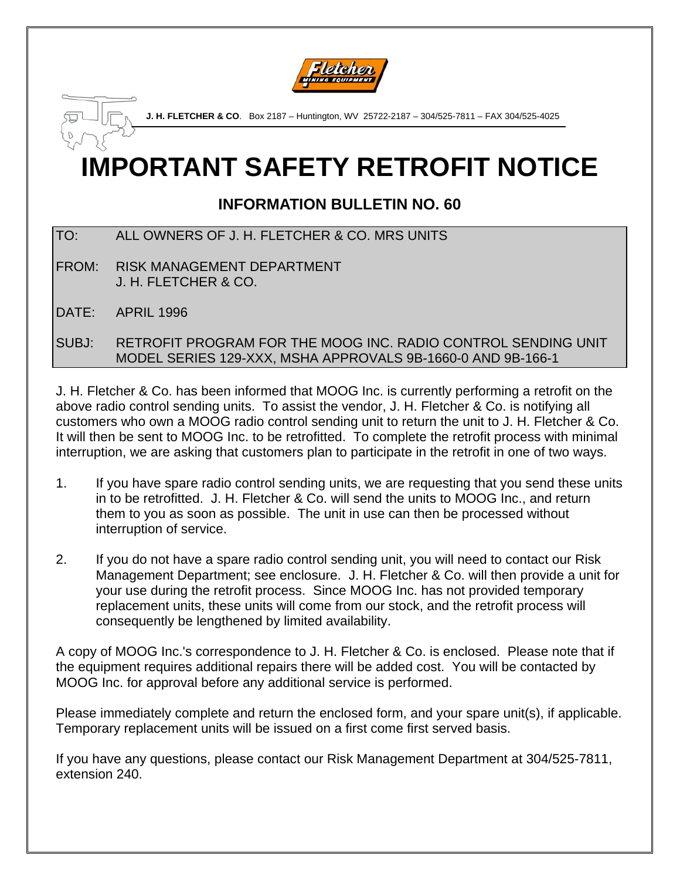

**J. H. FLETCHER & CO**. Box 2187 – Huntington, WV 25722-2187 – 304/525-7811 – FAX 304/525-4025

## **IMPORTANT SAFETY RETROFIT NOTICE**

## **INFORMATION BULLETIN NO. 60**

- TO: ALL OWNERS OF J. H. FLETCHER & CO. MRS UNITS
- FROM: RISK MANAGEMENT DEPARTMENT J. H. FLETCHER & CO.
- DATE: APRIL 1996
- SUBJ: RETROFIT PROGRAM FOR THE MOOG INC. RADIO CONTROL SENDING UNIT MODEL SERIES 129-XXX, MSHA APPROVALS 9B-1660-0 AND 9B-166-1

J. H. Fletcher & Co. has been informed that MOOG Inc. is currently performing a retrofit on the above radio control sending units. To assist the vendor, J. H. Fletcher & Co. is notifying all customers who own a MOOG radio control sending unit to return the unit to J. H. Fletcher & Co. It will then be sent to MOOG Inc. to be retrofitted. To complete the retrofit process with minimal interruption, we are asking that customers plan to participate in the retrofit in one of two ways.

- 1. If you have spare radio control sending units, we are requesting that you send these units in to be retrofitted. J. H. Fletcher & Co. will send the units to MOOG Inc., and return them to you as soon as possible. The unit in use can then be processed without interruption of service.
- 2. If you do not have a spare radio control sending unit, you will need to contact our Risk Management Department; see enclosure. J. H. Fletcher & Co. will then provide a unit for your use during the retrofit process. Since MOOG Inc. has not provided temporary replacement units, these units will come from our stock, and the retrofit process will consequently be lengthened by limited availability.

A copy of MOOG Inc.'s correspondence to J. H. Fletcher & Co. is enclosed. Please note that if the equipment requires additional repairs there will be added cost. You will be contacted by MOOG Inc. for approval before any additional service is performed.

Please immediately complete and return the enclosed form, and your spare unit(s), if applicable. Temporary replacement units will be issued on a first come first served basis.

If you have any questions, please contact our Risk Management Department at 304/525-7811, extension 240.